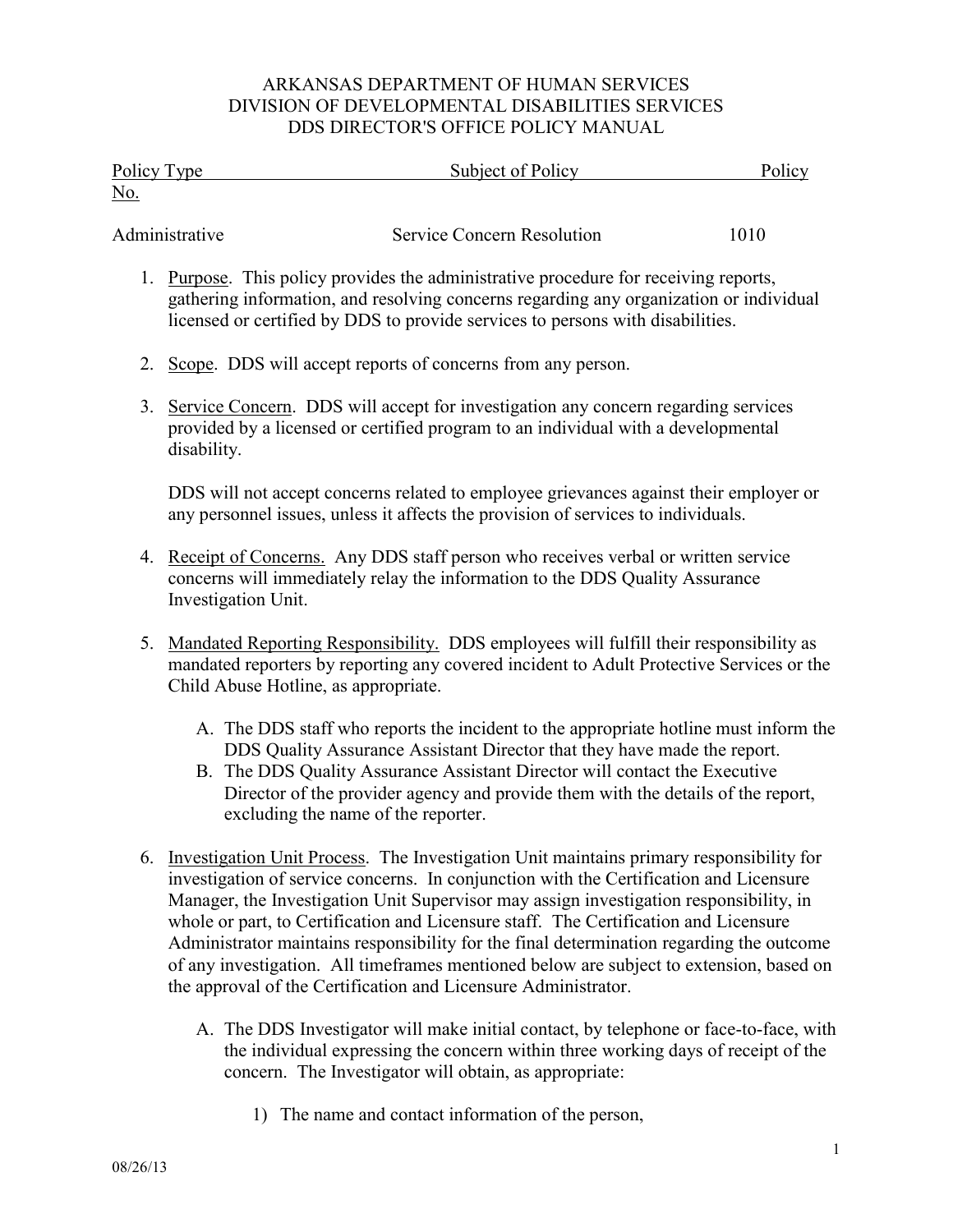## ARKANSAS DEPARTMENT OF HUMAN SERVICES DIVISION OF DEVELOPMENTAL DISABILITIES SERVICES DDS DIRECTOR'S OFFICE POLICY MANUAL

| Policy Type<br><u>No.</u> | Subject of Policy                                                                 | Policy |
|---------------------------|-----------------------------------------------------------------------------------|--------|
| Administrative            | Service Concern Resolution                                                        | 1010   |
|                           | Purpose. This policy provides the administrative procedure for receiving reports, |        |

- gathering information, and resolving concerns regarding any organization or individual licensed or certified by DDS to provide services to persons with disabilities.
- 2. Scope. DDS will accept reports of concerns from any person.
- 3. Service Concern. DDS will accept for investigation any concern regarding services provided by a licensed or certified program to an individual with a developmental disability.

DDS will not accept concerns related to employee grievances against their employer or any personnel issues, unless it affects the provision of services to individuals.

- 4. Receipt of Concerns. Any DDS staff person who receives verbal or written service concerns will immediately relay the information to the DDS Quality Assurance Investigation Unit.
- 5. Mandated Reporting Responsibility. DDS employees will fulfill their responsibility as mandated reporters by reporting any covered incident to Adult Protective Services or the Child Abuse Hotline, as appropriate.
	- A. The DDS staff who reports the incident to the appropriate hotline must inform the DDS Quality Assurance Assistant Director that they have made the report.
	- B. The DDS Quality Assurance Assistant Director will contact the Executive Director of the provider agency and provide them with the details of the report, excluding the name of the reporter.
- 6. Investigation Unit Process. The Investigation Unit maintains primary responsibility for investigation of service concerns. In conjunction with the Certification and Licensure Manager, the Investigation Unit Supervisor may assign investigation responsibility, in whole or part, to Certification and Licensure staff. The Certification and Licensure Administrator maintains responsibility for the final determination regarding the outcome of any investigation. All timeframes mentioned below are subject to extension, based on the approval of the Certification and Licensure Administrator.
	- A. The DDS Investigator will make initial contact, by telephone or face-to-face, with the individual expressing the concern within three working days of receipt of the concern. The Investigator will obtain, as appropriate:
		- 1) The name and contact information of the person,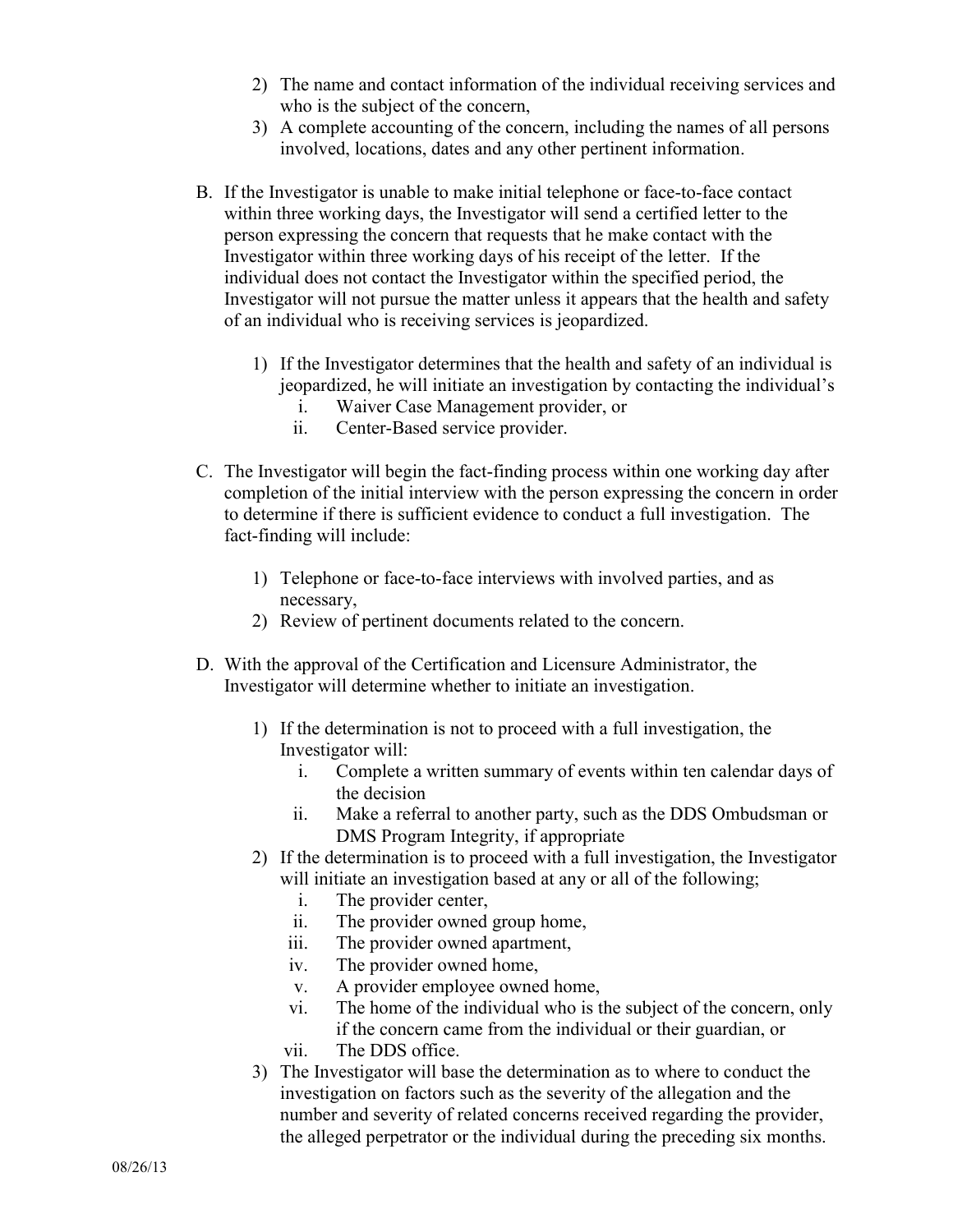- 2) The name and contact information of the individual receiving services and who is the subject of the concern,
- 3) A complete accounting of the concern, including the names of all persons involved, locations, dates and any other pertinent information.
- B. If the Investigator is unable to make initial telephone or face-to-face contact within three working days, the Investigator will send a certified letter to the person expressing the concern that requests that he make contact with the Investigator within three working days of his receipt of the letter. If the individual does not contact the Investigator within the specified period, the Investigator will not pursue the matter unless it appears that the health and safety of an individual who is receiving services is jeopardized.
	- 1) If the Investigator determines that the health and safety of an individual is jeopardized, he will initiate an investigation by contacting the individual's
		- i. Waiver Case Management provider, or
		- ii. Center-Based service provider.
- C. The Investigator will begin the fact-finding process within one working day after completion of the initial interview with the person expressing the concern in order to determine if there is sufficient evidence to conduct a full investigation. The fact-finding will include:
	- 1) Telephone or face-to-face interviews with involved parties, and as necessary,
	- 2) Review of pertinent documents related to the concern.
- D. With the approval of the Certification and Licensure Administrator, the Investigator will determine whether to initiate an investigation.
	- 1) If the determination is not to proceed with a full investigation, the Investigator will:
		- i. Complete a written summary of events within ten calendar days of the decision
		- ii. Make a referral to another party, such as the DDS Ombudsman or DMS Program Integrity, if appropriate
	- 2) If the determination is to proceed with a full investigation, the Investigator will initiate an investigation based at any or all of the following;
		- i. The provider center,
		- ii. The provider owned group home,
		- iii. The provider owned apartment,
		- iv. The provider owned home,
		- v. A provider employee owned home,
		- vi. The home of the individual who is the subject of the concern, only if the concern came from the individual or their guardian, or
		- vii. The DDS office.
	- 3) The Investigator will base the determination as to where to conduct the investigation on factors such as the severity of the allegation and the number and severity of related concerns received regarding the provider, the alleged perpetrator or the individual during the preceding six months.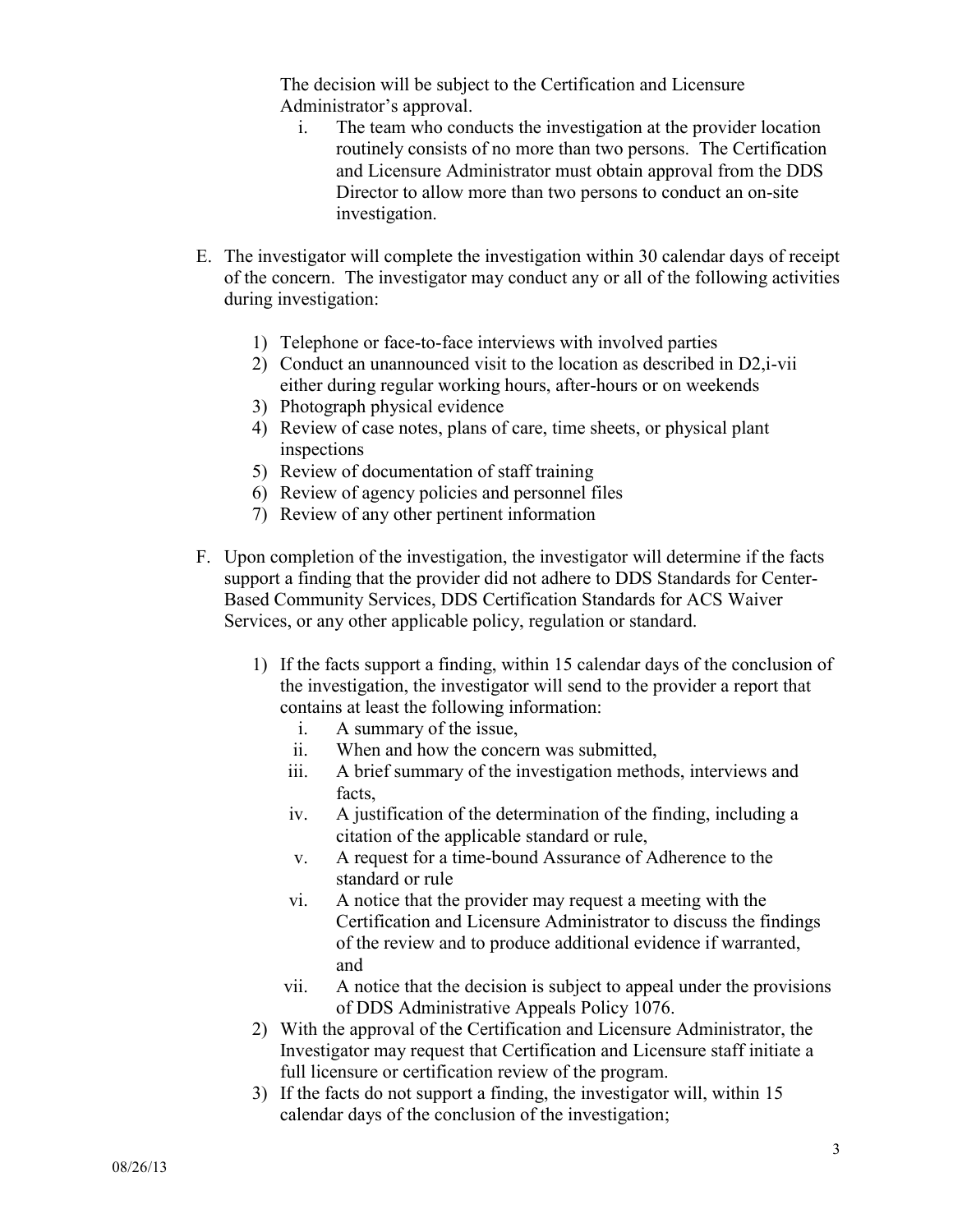The decision will be subject to the Certification and Licensure Administrator's approval.

- i. The team who conducts the investigation at the provider location routinely consists of no more than two persons. The Certification and Licensure Administrator must obtain approval from the DDS Director to allow more than two persons to conduct an on-site investigation.
- E. The investigator will complete the investigation within 30 calendar days of receipt of the concern. The investigator may conduct any or all of the following activities during investigation:
	- 1) Telephone or face-to-face interviews with involved parties
	- 2) Conduct an unannounced visit to the location as described in D2,i-vii either during regular working hours, after-hours or on weekends
	- 3) Photograph physical evidence
	- 4) Review of case notes, plans of care, time sheets, or physical plant inspections
	- 5) Review of documentation of staff training
	- 6) Review of agency policies and personnel files
	- 7) Review of any other pertinent information
- F. Upon completion of the investigation, the investigator will determine if the facts support a finding that the provider did not adhere to DDS Standards for Center-Based Community Services, DDS Certification Standards for ACS Waiver Services, or any other applicable policy, regulation or standard.
	- 1) If the facts support a finding, within 15 calendar days of the conclusion of the investigation, the investigator will send to the provider a report that contains at least the following information:
		- i. A summary of the issue,
		- ii. When and how the concern was submitted,
		- iii. A brief summary of the investigation methods, interviews and facts,
		- iv. A justification of the determination of the finding, including a citation of the applicable standard or rule,
		- v. A request for a time-bound Assurance of Adherence to the standard or rule
		- vi. A notice that the provider may request a meeting with the Certification and Licensure Administrator to discuss the findings of the review and to produce additional evidence if warranted, and
		- vii. A notice that the decision is subject to appeal under the provisions of DDS Administrative Appeals Policy 1076.
	- 2) With the approval of the Certification and Licensure Administrator, the Investigator may request that Certification and Licensure staff initiate a full licensure or certification review of the program.
	- 3) If the facts do not support a finding, the investigator will, within 15 calendar days of the conclusion of the investigation;